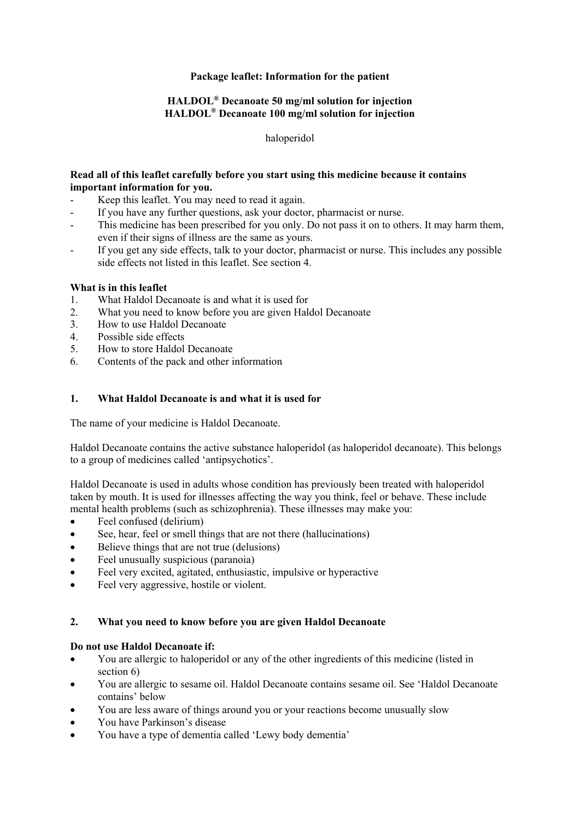## **Package leaflet: Information for the patient**

### **HALDOL® Decanoate 50 mg/ml solution for injection HALDOL® Decanoate 100 mg/ml solution for injection**

haloperidol

### **Read all of this leaflet carefully before you start using this medicine because it contains important information for you.**

- Keep this leaflet. You may need to read it again.
- If you have any further questions, ask your doctor, pharmacist or nurse.
- This medicine has been prescribed for you only. Do not pass it on to others. It may harm them, even if their signs of illness are the same as yours.
- If you get any side effects, talk to your doctor, pharmacist or nurse. This includes any possible side effects not listed in this leaflet. See section 4.

## **What is in this leaflet**

- 1. What Haldol Decanoate is and what it is used for
- 2. What you need to know before you are given Haldol Decanoate
- 3. How to use Haldol Decanoate
- 4. Possible side effects
- 5. How to store Haldol Decanoate
- 6. Contents of the pack and other information

## **1. What Haldol Decanoate is and what it is used for**

The name of your medicine is Haldol Decanoate.

Haldol Decanoate contains the active substance haloperidol (as haloperidol decanoate). This belongs to a group of medicines called 'antipsychotics'.

Haldol Decanoate is used in adults whose condition has previously been treated with haloperidol taken by mouth. It is used for illnesses affecting the way you think, feel or behave. These include mental health problems (such as schizophrenia). These illnesses may make you:

- Feel confused (delirium)
- See, hear, feel or smell things that are not there (hallucinations)
- Believe things that are not true (delusions)
- Feel unusually suspicious (paranoia)
- Feel very excited, agitated, enthusiastic, impulsive or hyperactive
- Feel very aggressive, hostile or violent.

### **2. What you need to know before you are given Haldol Decanoate**

### **Do not use Haldol Decanoate if:**

- You are allergic to haloperidol or any of the other ingredients of this medicine (listed in section 6)
- You are allergic to sesame oil. Haldol Decanoate contains sesame oil. See 'Haldol Decanoate contains' below
- You are less aware of things around you or your reactions become unusually slow
- You have Parkinson's disease
- You have a type of dementia called 'Lewy body dementia'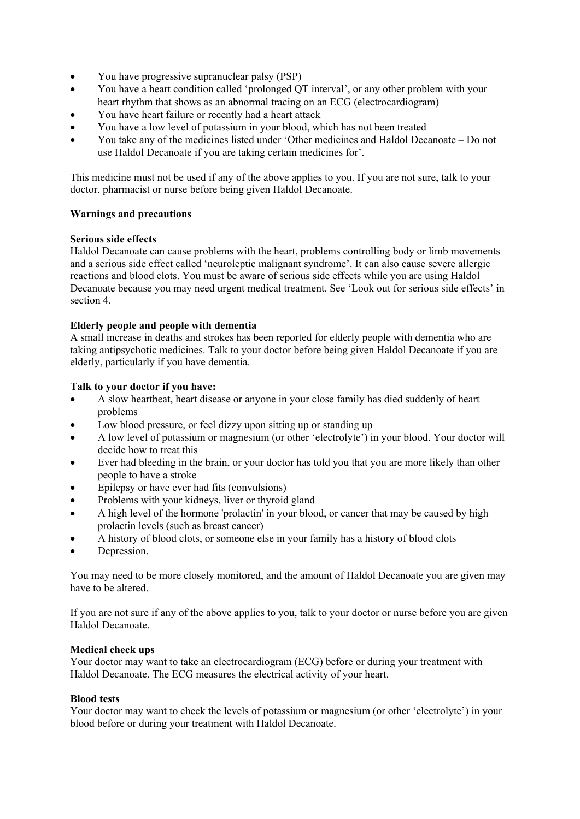- You have progressive supranuclear palsy (PSP)
- You have a heart condition called 'prolonged QT interval', or any other problem with your heart rhythm that shows as an abnormal tracing on an ECG (electrocardiogram)
- You have heart failure or recently had a heart attack
- You have a low level of potassium in your blood, which has not been treated
- You take any of the medicines listed under 'Other medicines and Haldol Decanoate Do not use Haldol Decanoate if you are taking certain medicines for'.

This medicine must not be used if any of the above applies to you. If you are not sure, talk to your doctor, pharmacist or nurse before being given Haldol Decanoate.

## **Warnings and precautions**

### **Serious side effects**

Haldol Decanoate can cause problems with the heart, problems controlling body or limb movements and a serious side effect called 'neuroleptic malignant syndrome'. It can also cause severe allergic reactions and blood clots. You must be aware of serious side effects while you are using Haldol Decanoate because you may need urgent medical treatment. See 'Look out for serious side effects' in section 4.

## **Elderly people and people with dementia**

A small increase in deaths and strokes has been reported for elderly people with dementia who are taking antipsychotic medicines. Talk to your doctor before being given Haldol Decanoate if you are elderly, particularly if you have dementia.

## **Talk to your doctor if you have:**

- A slow heartbeat, heart disease or anyone in your close family has died suddenly of heart problems
- Low blood pressure, or feel dizzy upon sitting up or standing up
- A low level of potassium or magnesium (or other 'electrolyte') in your blood. Your doctor will decide how to treat this
- Ever had bleeding in the brain, or your doctor has told you that you are more likely than other people to have a stroke
- Epilepsy or have ever had fits (convulsions)
- Problems with your kidneys, liver or thyroid gland
- A high level of the hormone 'prolactin' in your blood, or cancer that may be caused by high prolactin levels (such as breast cancer)
- A history of blood clots, or someone else in your family has a history of blood clots
- Depression.

You may need to be more closely monitored, and the amount of Haldol Decanoate you are given may have to be altered.

If you are not sure if any of the above applies to you, talk to your doctor or nurse before you are given Haldol Decanoate.

### **Medical check ups**

Your doctor may want to take an electrocardiogram (ECG) before or during your treatment with Haldol Decanoate. The ECG measures the electrical activity of your heart.

### **Blood tests**

Your doctor may want to check the levels of potassium or magnesium (or other 'electrolyte') in your blood before or during your treatment with Haldol Decanoate.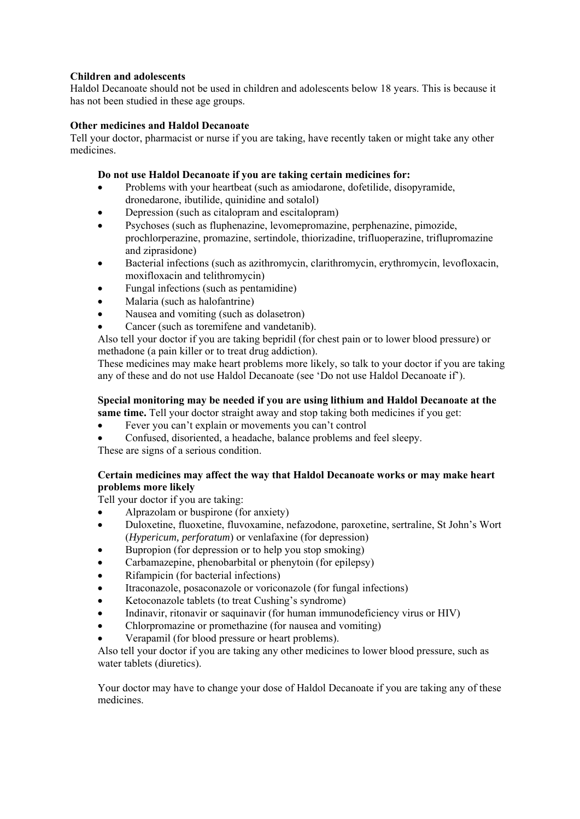## **Children and adolescents**

Haldol Decanoate should not be used in children and adolescents below 18 years. This is because it has not been studied in these age groups.

### **Other medicines and Haldol Decanoate**

Tell your doctor, pharmacist or nurse if you are taking, have recently taken or might take any other medicines.

### **Do not use Haldol Decanoate if you are taking certain medicines for:**

- Problems with your heartbeat (such as amiodarone, dofetilide, disopyramide, dronedarone, ibutilide, quinidine and sotalol)
- Depression (such as citalopram and escitalopram)
- Psychoses (such as fluphenazine, levomepromazine, perphenazine, pimozide, prochlorperazine, promazine, sertindole, thiorizadine, trifluoperazine, triflupromazine and ziprasidone)
- Bacterial infections (such as azithromycin, clarithromycin, erythromycin, levofloxacin, moxifloxacin and telithromycin)
- Fungal infections (such as pentamidine)
- Malaria (such as halofantrine)
- Nausea and vomiting (such as dolasetron)
- Cancer (such as toremifene and vandetanib).

Also tell your doctor if you are taking bepridil (for chest pain or to lower blood pressure) or methadone (a pain killer or to treat drug addiction).

These medicines may make heart problems more likely, so talk to your doctor if you are taking any of these and do not use Haldol Decanoate (see 'Do not use Haldol Decanoate if').

## **Special monitoring may be needed if you are using lithium and Haldol Decanoate at the**

**same time.** Tell your doctor straight away and stop taking both medicines if you get:

- Fever you can't explain or movements you can't control
- Confused, disoriented, a headache, balance problems and feel sleepy.

These are signs of a serious condition.

## **Certain medicines may affect the way that Haldol Decanoate works or may make heart problems more likely**

Tell your doctor if you are taking:

- Alprazolam or buspirone (for anxiety)
- Duloxetine, fluoxetine, fluvoxamine, nefazodone, paroxetine, sertraline, St John's Wort (*Hypericum, perforatum*) or venlafaxine (for depression)
- Bupropion (for depression or to help you stop smoking)
- Carbamazepine, phenobarbital or phenytoin (for epilepsy)
- Rifampicin (for bacterial infections)
- Itraconazole, posaconazole or voriconazole (for fungal infections)
- Ketoconazole tablets (to treat Cushing's syndrome)
- Indinavir, ritonavir or saquinavir (for human immunodeficiency virus or HIV)
- Chlorpromazine or promethazine (for nausea and vomiting)
- Verapamil (for blood pressure or heart problems).

Also tell your doctor if you are taking any other medicines to lower blood pressure, such as water tablets (diuretics).

Your doctor may have to change your dose of Haldol Decanoate if you are taking any of these medicines.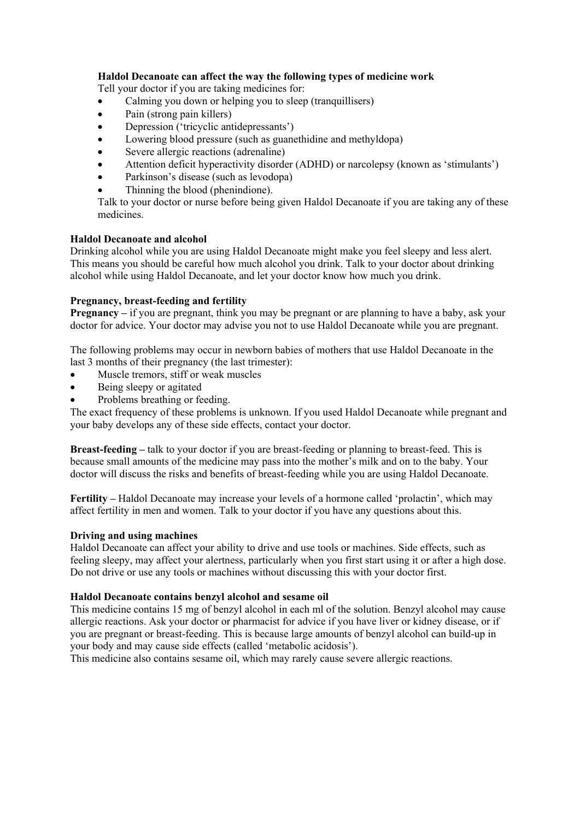### **Haldol Decanoate can affect the way the following types of medicine work**

Tell your doctor if you are taking medicines for:

- Calming you down or helping you to sleep (tranquillisers)
- Pain (strong pain killers)
- Depression ('tricyclic antidepressants')
- Lowering blood pressure (such as guanethidine and methyldopa)
- Severe allergic reactions (adrenaline)
- Attention deficit hyperactivity disorder (ADHD) or narcolepsy (known as 'stimulants')
- Parkinson's disease (such as levodopa)
- Thinning the blood (phenindione).

Talk to your doctor or nurse before being given Haldol Decanoate if you are taking any of these medicines.

### **Haldol Decanoate and alcohol**

Drinking alcohol while you are using Haldol Decanoate might make you feel sleepy and less alert. This means you should be careful how much alcohol you drink. Talk to your doctor about drinking alcohol while using Haldol Decanoate, and let your doctor know how much you drink.

### **Pregnancy, breast-feeding and fertility**

**Pregnancy –** if you are pregnant, think you may be pregnant or are planning to have a baby, ask your doctor for advice. Your doctor may advise you not to use Haldol Decanoate while you are pregnant.

The following problems may occur in newborn babies of mothers that use Haldol Decanoate in the last 3 months of their pregnancy (the last trimester):

- Muscle tremors, stiff or weak muscles
- Being sleepy or agitated
- Problems breathing or feeding.

The exact frequency of these problems is unknown. If you used Haldol Decanoate while pregnant and your baby develops any of these side effects, contact your doctor.

**Breast-feeding –** talk to your doctor if you are breast-feeding or planning to breast-feed. This is because small amounts of the medicine may pass into the mother's milk and on to the baby. Your doctor will discuss the risks and benefits of breast-feeding while you are using Haldol Decanoate.

**Fertility –** Haldol Decanoate may increase your levels of a hormone called 'prolactin', which may affect fertility in men and women. Talk to your doctor if you have any questions about this.

### **Driving and using machines**

Haldol Decanoate can affect your ability to drive and use tools or machines. Side effects, such as feeling sleepy, may affect your alertness, particularly when you first start using it or after a high dose. Do not drive or use any tools or machines without discussing this with your doctor first.

### **Haldol Decanoate contains benzyl alcohol and sesame oil**

This medicine contains 15 mg of benzyl alcohol in each ml of the solution. Benzyl alcohol may cause allergic reactions. Ask your doctor or pharmacist for advice if you have liver or kidney disease, or if you are pregnant or breast-feeding. This is because large amounts of benzyl alcohol can build-up in your body and may cause side effects (called 'metabolic acidosis').

This medicine also contains sesame oil, which may rarely cause severe allergic reactions.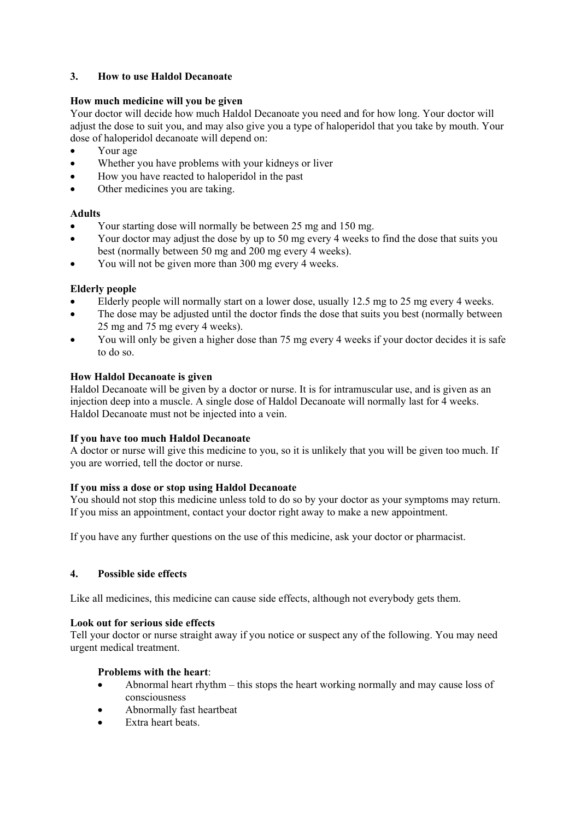## **3. How to use Haldol Decanoate**

## **How much medicine will you be given**

Your doctor will decide how much Haldol Decanoate you need and for how long. Your doctor will adjust the dose to suit you, and may also give you a type of haloperidol that you take by mouth. Your dose of haloperidol decanoate will depend on:

- Your age
- Whether you have problems with your kidneys or liver
- How you have reacted to haloperidol in the past
- Other medicines you are taking.

# **Adults**

- Your starting dose will normally be between 25 mg and 150 mg.
- Your doctor may adjust the dose by up to 50 mg every 4 weeks to find the dose that suits you best (normally between 50 mg and 200 mg every 4 weeks).
- You will not be given more than 300 mg every 4 weeks.

# **Elderly people**

- Elderly people will normally start on a lower dose, usually 12.5 mg to 25 mg every 4 weeks.
- The dose may be adjusted until the doctor finds the dose that suits you best (normally between 25 mg and 75 mg every 4 weeks).
- You will only be given a higher dose than 75 mg every 4 weeks if your doctor decides it is safe to do so.

## **How Haldol Decanoate is given**

Haldol Decanoate will be given by a doctor or nurse. It is for intramuscular use, and is given as an injection deep into a muscle. A single dose of Haldol Decanoate will normally last for 4 weeks. Haldol Decanoate must not be injected into a vein.

## **If you have too much Haldol Decanoate**

A doctor or nurse will give this medicine to you, so it is unlikely that you will be given too much. If you are worried, tell the doctor or nurse.

## **If you miss a dose or stop using Haldol Decanoate**

You should not stop this medicine unless told to do so by your doctor as your symptoms may return. If you miss an appointment, contact your doctor right away to make a new appointment.

If you have any further questions on the use of this medicine, ask your doctor or pharmacist.

## **4. Possible side effects**

Like all medicines, this medicine can cause side effects, although not everybody gets them.

## **Look out for serious side effects**

Tell your doctor or nurse straight away if you notice or suspect any of the following. You may need urgent medical treatment.

## **Problems with the heart**:

- Abnormal heart rhythm this stops the heart working normally and may cause loss of consciousness
- Abnormally fast heartbeat
- Extra heart beats.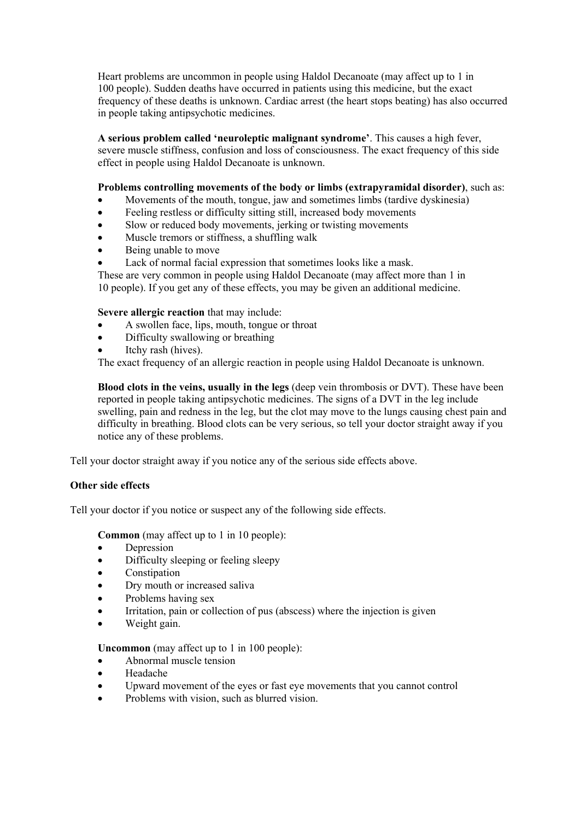Heart problems are uncommon in people using Haldol Decanoate (may affect up to 1 in 100 people). Sudden deaths have occurred in patients using this medicine, but the exact frequency of these deaths is unknown. Cardiac arrest (the heart stops beating) has also occurred in people taking antipsychotic medicines.

**A serious problem called 'neuroleptic malignant syndrome'**. This causes a high fever, severe muscle stiffness, confusion and loss of consciousness. The exact frequency of this side effect in people using Haldol Decanoate is unknown.

## **Problems controlling movements of the body or limbs (extrapyramidal disorder)**, such as:

- Movements of the mouth, tongue, jaw and sometimes limbs (tardive dyskinesia)
- Feeling restless or difficulty sitting still, increased body movements
- Slow or reduced body movements, jerking or twisting movements
- Muscle tremors or stiffness, a shuffling walk
- Being unable to move
- Lack of normal facial expression that sometimes looks like a mask.

These are very common in people using Haldol Decanoate (may affect more than 1 in 10 people). If you get any of these effects, you may be given an additional medicine.

**Severe allergic reaction** that may include:

- A swollen face, lips, mouth, tongue or throat
- Difficulty swallowing or breathing
- Itchy rash (hives).

The exact frequency of an allergic reaction in people using Haldol Decanoate is unknown.

**Blood clots in the veins, usually in the legs** (deep vein thrombosis or DVT). These have been reported in people taking antipsychotic medicines. The signs of a DVT in the leg include swelling, pain and redness in the leg, but the clot may move to the lungs causing chest pain and difficulty in breathing. Blood clots can be very serious, so tell your doctor straight away if you notice any of these problems.

Tell your doctor straight away if you notice any of the serious side effects above.

### **Other side effects**

Tell your doctor if you notice or suspect any of the following side effects.

**Common** (may affect up to 1 in 10 people):

- Depression
- Difficulty sleeping or feeling sleepy
- Constipation
- Dry mouth or increased saliva
- Problems having sex
- Irritation, pain or collection of pus (abscess) where the injection is given
- Weight gain.

**Uncommon** (may affect up to 1 in 100 people):

- Abnormal muscle tension
- Headache
- Upward movement of the eyes or fast eye movements that you cannot control
- Problems with vision, such as blurred vision.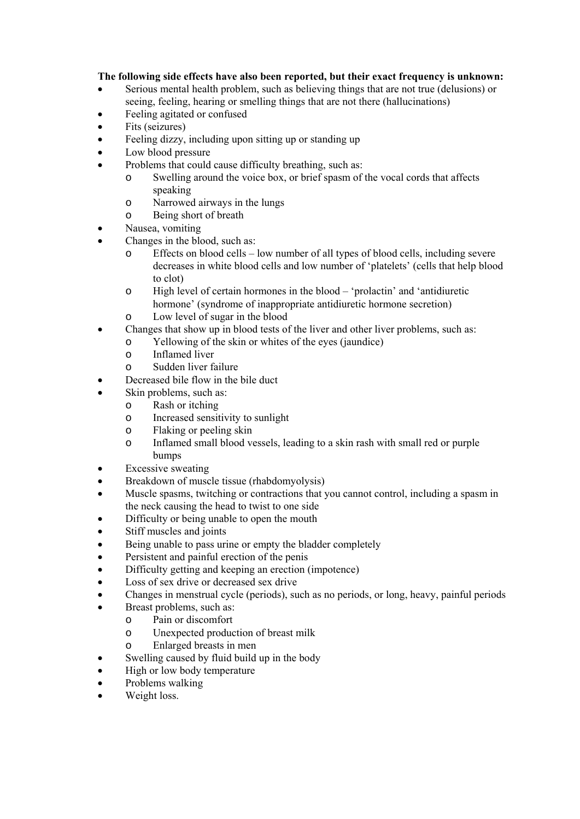## **The following side effects have also been reported, but their exact frequency is unknown:**

- Serious mental health problem, such as believing things that are not true (delusions) or seeing, feeling, hearing or smelling things that are not there (hallucinations)
- Feeling agitated or confused
- Fits (seizures)
- Feeling dizzy, including upon sitting up or standing up
- Low blood pressure
- Problems that could cause difficulty breathing, such as:
	- o Swelling around the voice box, or brief spasm of the vocal cords that affects speaking
	- o Narrowed airways in the lungs
	- o Being short of breath
- Nausea, vomiting
- Changes in the blood, such as:
	- o Effects on blood cells low number of all types of blood cells, including severe decreases in white blood cells and low number of 'platelets' (cells that help blood to clot)
	- o High level of certain hormones in the blood 'prolactin' and 'antidiuretic hormone' (syndrome of inappropriate antidiuretic hormone secretion)
	- o Low level of sugar in the blood
- Changes that show up in blood tests of the liver and other liver problems, such as:
	- o Yellowing of the skin or whites of the eyes (jaundice)
	- o Inflamed liver
	- o Sudden liver failure
- Decreased bile flow in the bile duct
	- Skin problems, such as:
		- o Rash or itching
		- o Increased sensitivity to sunlight
		- o Flaking or peeling skin
		- o Inflamed small blood vessels, leading to a skin rash with small red or purple bumps
- Excessive sweating
- Breakdown of muscle tissue (rhabdomyolysis)
- Muscle spasms, twitching or contractions that you cannot control, including a spasm in the neck causing the head to twist to one side
- Difficulty or being unable to open the mouth
- Stiff muscles and joints
- Being unable to pass urine or empty the bladder completely
- Persistent and painful erection of the penis
- Difficulty getting and keeping an erection (impotence)
- Loss of sex drive or decreased sex drive
- Changes in menstrual cycle (periods), such as no periods, or long, heavy, painful periods
- Breast problems, such as:
	- o Pain or discomfort
	- o Unexpected production of breast milk
	- o Enlarged breasts in men
- Swelling caused by fluid build up in the body
- High or low body temperature
- Problems walking
- Weight loss.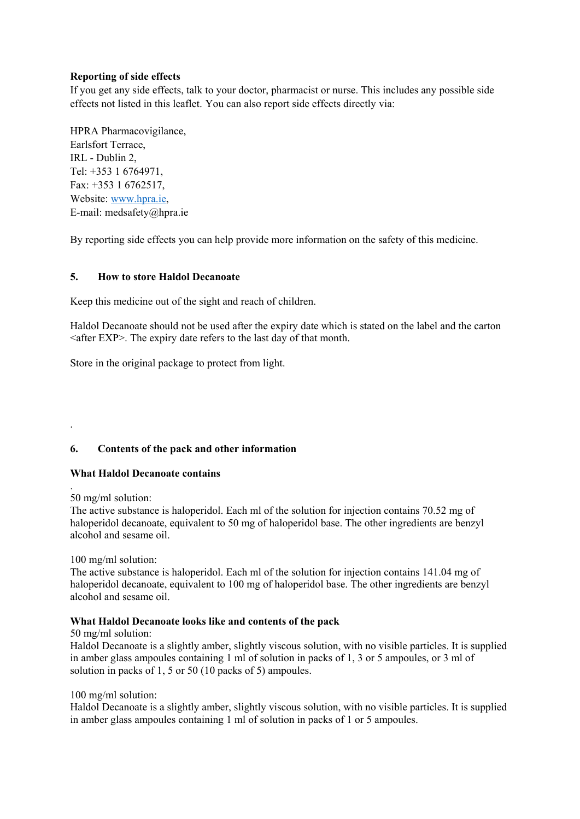## **Reporting of side effects**

If you get any side effects, talk to your doctor, pharmacist or nurse. This includes any possible side effects not listed in this leaflet. You can also report side effects directly via:

HPRA Pharmacovigilance, Earlsfort Terrace, IRL - Dublin 2, Tel: +353 1 6764971, Fax: +353 1 6762517, Website: www.hpra.ie, E-mail: medsafety@hpra.ie

By reporting side effects you can help provide more information on the safety of this medicine.

## **5. How to store Haldol Decanoate**

Keep this medicine out of the sight and reach of children.

Haldol Decanoate should not be used after the expiry date which is stated on the label and the carton  $\leq$ after EXP $>$ . The expiry date refers to the last day of that month.

Store in the original package to protect from light.

## **6. Contents of the pack and other information**

### **What Haldol Decanoate contains**

50 mg/ml solution:

.

.

The active substance is haloperidol. Each ml of the solution for injection contains 70.52 mg of haloperidol decanoate, equivalent to 50 mg of haloperidol base. The other ingredients are benzyl alcohol and sesame oil.

100 mg/ml solution:

The active substance is haloperidol. Each ml of the solution for injection contains 141.04 mg of haloperidol decanoate, equivalent to 100 mg of haloperidol base. The other ingredients are benzyl alcohol and sesame oil.

### **What Haldol Decanoate looks like and contents of the pack**

50 mg/ml solution:

Haldol Decanoate is a slightly amber, slightly viscous solution, with no visible particles. It is supplied in amber glass ampoules containing 1 ml of solution in packs of 1, 3 or 5 ampoules, or 3 ml of solution in packs of 1, 5 or 50 (10 packs of 5) ampoules.

### 100 mg/ml solution:

Haldol Decanoate is a slightly amber, slightly viscous solution, with no visible particles. It is supplied in amber glass ampoules containing 1 ml of solution in packs of 1 or 5 ampoules.